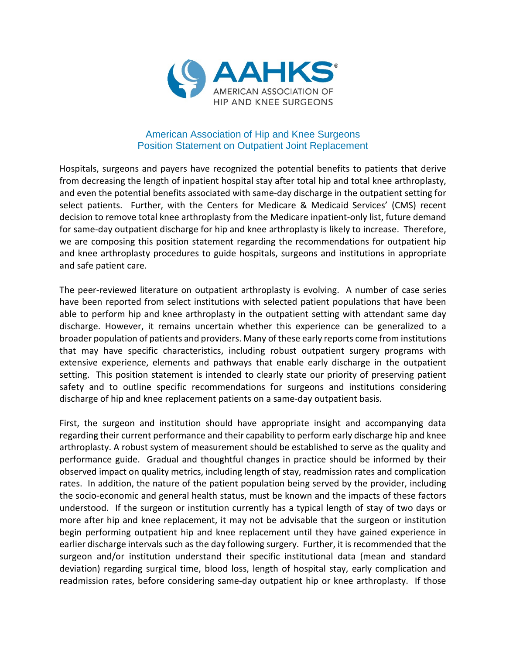

## American Association of Hip and Knee Surgeons Position Statement on Outpatient Joint Replacement

Hospitals, surgeons and payers have recognized the potential benefits to patients that derive from decreasing the length of inpatient hospital stay after total hip and total knee arthroplasty, and even the potential benefits associated with same-day discharge in the outpatient setting for select patients. Further, with the Centers for Medicare & Medicaid Services' (CMS) recent decision to remove total knee arthroplasty from the Medicare inpatient-only list, future demand for same-day outpatient discharge for hip and knee arthroplasty is likely to increase. Therefore, we are composing this position statement regarding the recommendations for outpatient hip and knee arthroplasty procedures to guide hospitals, surgeons and institutions in appropriate and safe patient care.

The peer-reviewed literature on outpatient arthroplasty is evolving. A number of case series have been reported from select institutions with selected patient populations that have been able to perform hip and knee arthroplasty in the outpatient setting with attendant same day discharge. However, it remains uncertain whether this experience can be generalized to a broader population of patients and providers. Many of these early reports come from institutions that may have specific characteristics, including robust outpatient surgery programs with extensive experience, elements and pathways that enable early discharge in the outpatient setting. This position statement is intended to clearly state our priority of preserving patient safety and to outline specific recommendations for surgeons and institutions considering discharge of hip and knee replacement patients on a same-day outpatient basis.

First, the surgeon and institution should have appropriate insight and accompanying data regarding their current performance and their capability to perform early discharge hip and knee arthroplasty. A robust system of measurement should be established to serve as the quality and performance guide. Gradual and thoughtful changes in practice should be informed by their observed impact on quality metrics, including length of stay, readmission rates and complication rates. In addition, the nature of the patient population being served by the provider, including the socio-economic and general health status, must be known and the impacts of these factors understood. If the surgeon or institution currently has a typical length of stay of two days or more after hip and knee replacement, it may not be advisable that the surgeon or institution begin performing outpatient hip and knee replacement until they have gained experience in earlier discharge intervals such as the day following surgery. Further, it is recommended that the surgeon and/or institution understand their specific institutional data (mean and standard deviation) regarding surgical time, blood loss, length of hospital stay, early complication and readmission rates, before considering same-day outpatient hip or knee arthroplasty. If those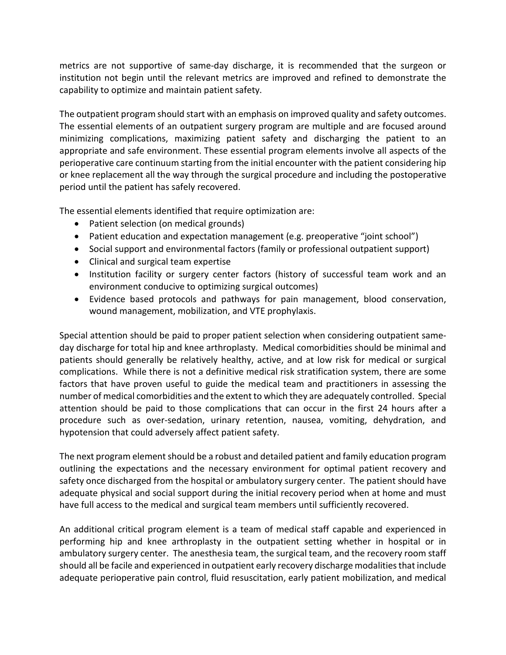metrics are not supportive of same-day discharge, it is recommended that the surgeon or institution not begin until the relevant metrics are improved and refined to demonstrate the capability to optimize and maintain patient safety.

The outpatient program should start with an emphasis on improved quality and safety outcomes. The essential elements of an outpatient surgery program are multiple and are focused around minimizing complications, maximizing patient safety and discharging the patient to an appropriate and safe environment. These essential program elements involve all aspects of the perioperative care continuum starting from the initial encounter with the patient considering hip or knee replacement all the way through the surgical procedure and including the postoperative period until the patient has safely recovered.

The essential elements identified that require optimization are:

- Patient selection (on medical grounds)
- Patient education and expectation management (e.g. preoperative "joint school")
- Social support and environmental factors (family or professional outpatient support)
- Clinical and surgical team expertise
- Institution facility or surgery center factors (history of successful team work and an environment conducive to optimizing surgical outcomes)
- Evidence based protocols and pathways for pain management, blood conservation, wound management, mobilization, and VTE prophylaxis.

Special attention should be paid to proper patient selection when considering outpatient sameday discharge for total hip and knee arthroplasty. Medical comorbidities should be minimal and patients should generally be relatively healthy, active, and at low risk for medical or surgical complications. While there is not a definitive medical risk stratification system, there are some factors that have proven useful to guide the medical team and practitioners in assessing the number of medical comorbidities and the extent to which they are adequately controlled. Special attention should be paid to those complications that can occur in the first 24 hours after a procedure such as over-sedation, urinary retention, nausea, vomiting, dehydration, and hypotension that could adversely affect patient safety.

The next program element should be a robust and detailed patient and family education program outlining the expectations and the necessary environment for optimal patient recovery and safety once discharged from the hospital or ambulatory surgery center. The patient should have adequate physical and social support during the initial recovery period when at home and must have full access to the medical and surgical team members until sufficiently recovered.

An additional critical program element is a team of medical staff capable and experienced in performing hip and knee arthroplasty in the outpatient setting whether in hospital or in ambulatory surgery center. The anesthesia team, the surgical team, and the recovery room staff should all be facile and experienced in outpatient early recovery discharge modalities that include adequate perioperative pain control, fluid resuscitation, early patient mobilization, and medical